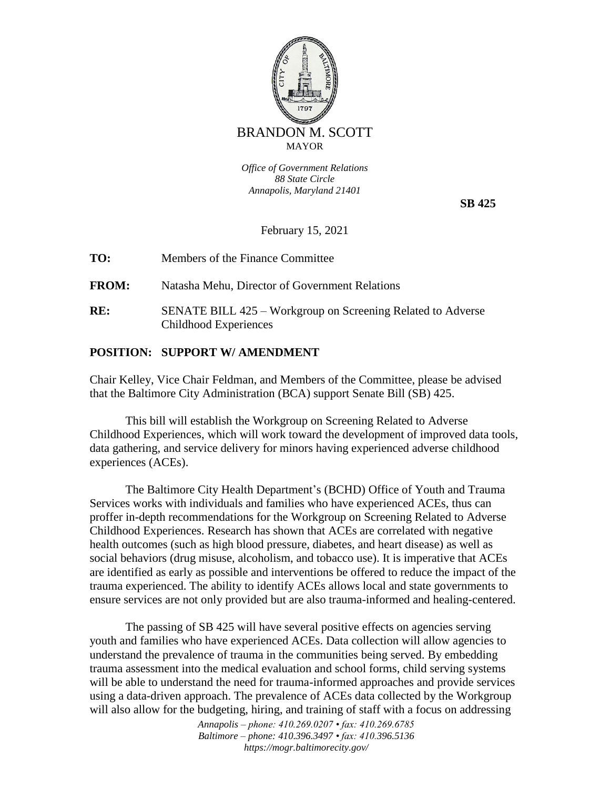

*Office of Government Relations 88 State Circle Annapolis, Maryland 21401*

 **SB 425**

February 15, 2021

**TO:** Members of the Finance Committee

**FROM:** Natasha Mehu, Director of Government Relations

**RE:** SENATE BILL 425 – Workgroup on Screening Related to Adverse Childhood Experiences

## **POSITION: SUPPORT W/ AMENDMENT**

Chair Kelley, Vice Chair Feldman, and Members of the Committee, please be advised that the Baltimore City Administration (BCA) support Senate Bill (SB) 425.

This bill will establish the Workgroup on Screening Related to Adverse Childhood Experiences, which will work toward the development of improved data tools, data gathering, and service delivery for minors having experienced adverse childhood experiences (ACEs).

The Baltimore City Health Department's (BCHD) Office of Youth and Trauma Services works with individuals and families who have experienced ACEs, thus can proffer in-depth recommendations for the Workgroup on Screening Related to Adverse Childhood Experiences. Research has shown that ACEs are correlated with negative health outcomes (such as high blood pressure, diabetes, and heart disease) as well as social behaviors (drug misuse, alcoholism, and tobacco use). It is imperative that ACEs are identified as early as possible and interventions be offered to reduce the impact of the trauma experienced. The ability to identify ACEs allows local and state governments to ensure services are not only provided but are also trauma-informed and healing-centered.

The passing of SB 425 will have several positive effects on agencies serving youth and families who have experienced ACEs. Data collection will allow agencies to understand the prevalence of trauma in the communities being served. By embedding trauma assessment into the medical evaluation and school forms, child serving systems will be able to understand the need for trauma-informed approaches and provide services using a data-driven approach. The prevalence of ACEs data collected by the Workgroup will also allow for the budgeting, hiring, and training of staff with a focus on addressing

> *Annapolis – phone: 410.269.0207 • fax: 410.269.6785 Baltimore – phone: 410.396.3497 • fax: 410.396.5136 https://mogr.baltimorecity.gov/*